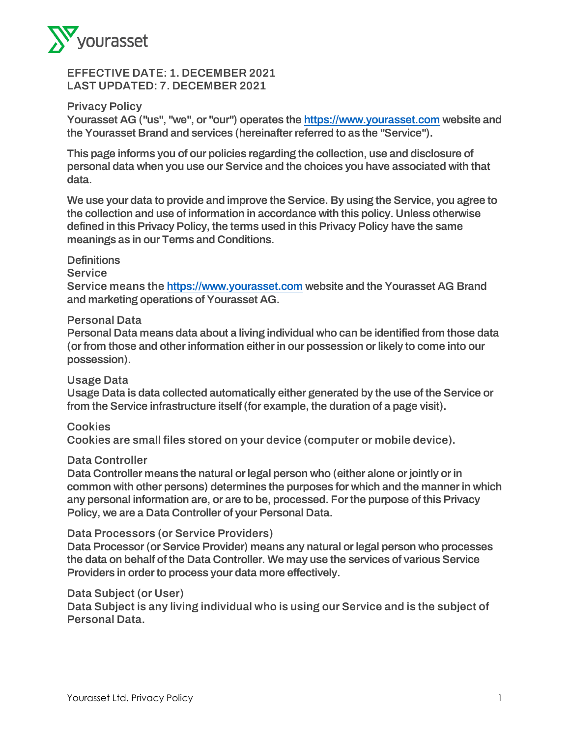

## **EFFECTIVE DATE: 1. DECEMBER 2021 LAST UPDATED: 7. DECEMBER 2021**

**Privacy Policy**

Yourasset AG ("us", "we", or "our") operates the [https://www.yourasset.com](https://www.yourasset.com/) website and the Yourasset Brand and services (hereinafter referred to as the "Service").

This page informs you of our policies regarding the collection, use and disclosure of personal data when you use our Service and the choices you have associated with that data.

We use your data to provide and improve the Service. By using the Service, you agree to the collection and use of information in accordance with this policy. Unless otherwise defined in this Privacy Policy, the terms used in this Privacy Policy have the same meanings as in our Terms and Conditions.

# **Definitions**

**Service**

**Service means the** [https://www.yourasset.com](https://www.yourasset.com/) website and the Yourasset AG Brand and marketing operations of Yourasset AG.

## **Personal Data**

Personal Data means data about a living individual who can be identified from those data (or from those and other information either in our possession or likely to come into our possession).

## **Usage Data**

Usage Data is data collected automatically either generated by the use of the Service or from the Service infrastructure itself (for example, the duration of a page visit).

## **Cookies**

**Cookies are small files stored on your device (computer or mobile device).**

## **Data Controller**

Data Controller means the natural or legal person who (either alone or jointly or in common with other persons) determines the purposes for which and the manner in which any personal information are, or are to be, processed. For the purpose of this Privacy Policy, we are a Data Controller of your Personal Data.

## **Data Processors (or Service Providers)**

Data Processor (or Service Provider) means any natural or legal person who processes the data on behalf of the Data Controller. We may use the services of various Service Providers in order to process your data more effectively.

## **Data Subject (or User)**

**Data Subject is any living individual who is using our Service and is the subject of Personal Data.**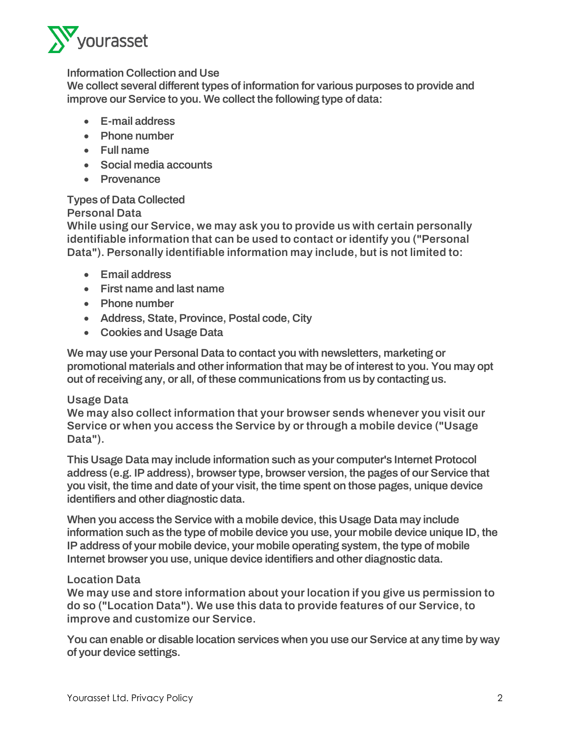

## Information Collection and Use

We collect several different types of information for various purposes to provide and improve our Service to you. We collect the following type of data:

- E-mail address
- Phone number
- Full name
- Social media accounts
- Provenance

## Types of Data Collected

## **Personal Data**

**While using our Service, we may ask you to provide us with certain personally identifiable information that can be used to contact or identify you ("Personal Data"). Personally identifiable information may include, but is not limited to:**

- Email address
- First name and last name
- Phone number
- Address, State, Province, Postal code, City
- Cookies and Usage Data

We may use your Personal Data to contact you with newsletters, marketing or promotional materials and other information that may be of interest to you. You may opt out of receiving any, or all, of these communications from us by contacting us.

## **Usage Data**

**We may also collect information that your browser sends whenever you visit our Service or when you access the Service by or through a mobile device ("Usage Data").**

This Usage Data may include information such as your computer's Internet Protocol address (e.g. IP address), browser type, browser version, the pages of our Service that you visit, the time and date of your visit, the time spent on those pages, unique device identifiers and other diagnostic data.

When you access the Service with a mobile device, this Usage Data may include information such as the type of mobile device you use, your mobile device unique ID, the IP address of your mobile device, your mobile operating system, the type of mobile Internet browser you use, unique device identifiers and other diagnostic data.

## **Location Data**

**We may use and store information about your location if you give us permission to do so ("Location Data"). We use this data to provide features of our Service, to improve and customize our Service.**

You can enable or disable location services when you use our Service at any time by way of your device settings.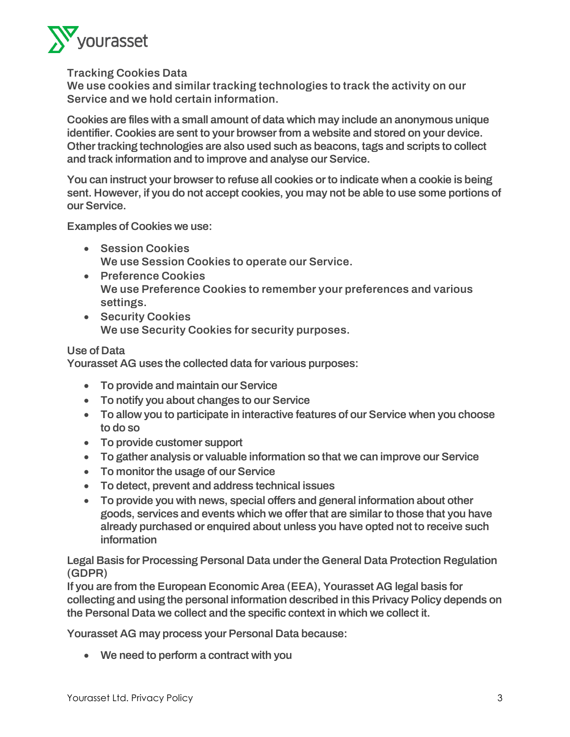

### **Tracking Cookies Data**

**We use cookies and similar tracking technologies to track the activity on our Service and we hold certain information.**

Cookies are files with a small amount of data which may include an anonymous unique identifier. Cookies are sent to your browser from a website and stored on your device. Other tracking technologies are also used such as beacons, tags and scripts to collect and track information and to improve and analyse our Service.

You can instruct your browser to refuse all cookies or to indicate when a cookie is being sent. However, if you do not accept cookies, you may not be able to use some portions of our Service.

Examples of Cookies we use:

- **Session Cookies We use Session Cookies to operate our Service.**
- **Preference Cookies We use Preference Cookies to remember your preferences and various settings.**
- **Security Cookies We use Security Cookies for security purposes.**

#### Use of Data

Yourasset AG uses the collected data for various purposes:

- To provide and maintain our Service
- To notify you about changes to our Service
- To allow you to participate in interactive features of our Service when you choose to do so
- To provide customer support
- To gather analysis or valuable information so that we can improve our Service
- To monitor the usage of our Service
- To detect, prevent and address technical issues
- To provide you with news, special offers and general information about other goods, services and events which we offer that are similar to those that you have already purchased or enquired about unless you have opted not to receive such information

Legal Basis for Processing Personal Data under the General Data Protection Regulation (GDPR)

If you are from the European Economic Area (EEA), Yourasset AG legal basis for collecting and using the personal information described in this Privacy Policy depends on the Personal Data we collect and the specific context in which we collect it.

Yourasset AG may process your Personal Data because:

• We need to perform a contract with you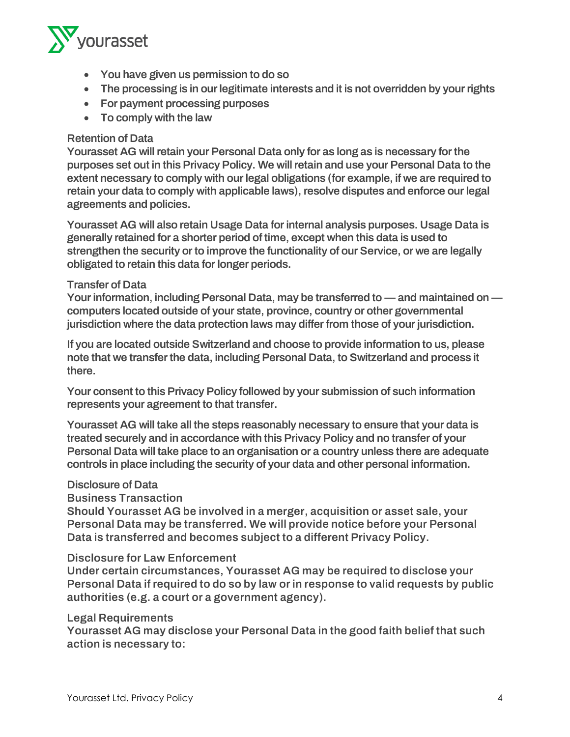

- You have given us permission to do so
- The processing is in our legitimate interests and it is not overridden by your rights
- For payment processing purposes
- To comply with the law

### Retention of Data

Yourasset AG will retain your Personal Data only for as long as is necessary for the purposes set out in this Privacy Policy. We will retain and use your Personal Data to the extent necessary to comply with our legal obligations (for example, if we are required to retain your data to comply with applicable laws), resolve disputes and enforce our legal agreements and policies.

Yourasset AG will also retain Usage Data for internal analysis purposes. Usage Data is generally retained for a shorter period of time, except when this data is used to strengthen the security or to improve the functionality of our Service, or we are legally obligated to retain this data for longer periods.

### Transfer of Data

Your information, including Personal Data, may be transferred to — and maintained on computers located outside of your state, province, country or other governmental jurisdiction where the data protection laws may differ from those of your jurisdiction.

If you are located outside Switzerland and choose to provide information to us, please note that we transfer the data, including Personal Data, to Switzerland and process it there.

Your consent to this Privacy Policy followed by your submission of such information represents your agreement to that transfer.

Yourasset AG will take all the steps reasonably necessary to ensure that your data is treated securely and in accordance with this Privacy Policy and no transfer of your Personal Data will take place to an organisation or a country unless there are adequate controls in place including the security of your data and other personal information.

#### Disclosure of Data

#### **Business Transaction**

**Should Yourasset AG be involved in a merger, acquisition or asset sale, your Personal Data may be transferred. We will provide notice before your Personal Data is transferred and becomes subject to a different Privacy Policy.**

#### **Disclosure for Law Enforcement**

**Under certain circumstances, Yourasset AG may be required to disclose your Personal Data if required to do so by law or in response to valid requests by public authorities (e.g. a court or a government agency).**

#### **Legal Requirements**

**Yourasset AG may disclose your Personal Data in the good faith belief that such action is necessary to:**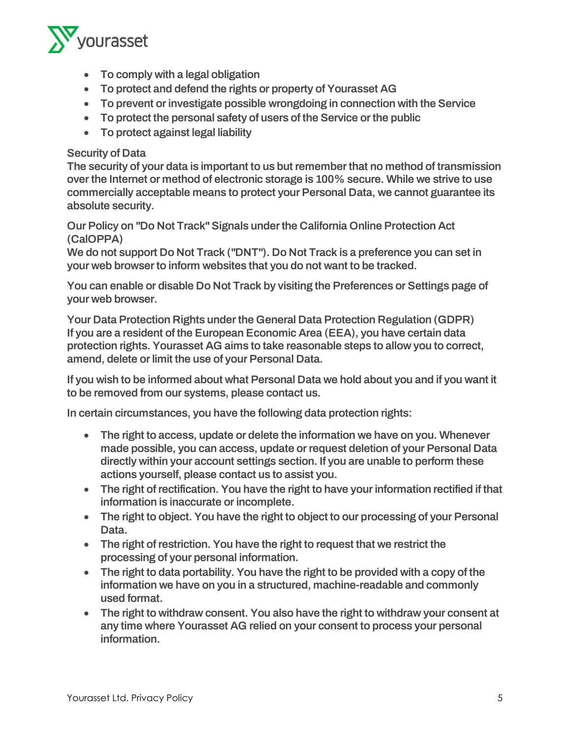

- To comply with a legal obligation
- To protect and defend the rights or property of Yourasset AG
- To prevent or investigate possible wrongdoing in connection with the Service
- To protect the personal safety of users of the Service or the public
- To protect against legal liability

#### Security of Data

The security of your data is important to us but remember that no method of transmission over the Internet or method of electronic storage is 100% secure. While we strive to use commercially acceptable means to protect your Personal Data, we cannot guarantee its absolute security.

Our Policy on "Do Not Track" Signals under the California Online Protection Act (CalOPPA)

We do not support Do Not Track ("DNT"). Do Not Track is a preference you can set in your web browser to inform websites that you do not want to be tracked.

You can enable or disable Do Not Track by visiting the Preferences or Settings page of your web browser.

Your Data Protection Rights under the General Data Protection Regulation (GDPR) If you are a resident of the European Economic Area (EEA), you have certain data protection rights. Yourasset AG aims to take reasonable steps to allow you to correct, amend, delete or limit the use of your Personal Data.

If you wish to be informed about what Personal Data we hold about you and if you want it to be removed from our systems, please contact us.

In certain circumstances, you have the following data protection rights:

- The right to access, update or delete the information we have on you. Whenever made possible, you can access, update or request deletion of your Personal Data directly within your account settings section. If you are unable to perform these actions yourself, please contact us to assist you.
- The right of rectification. You have the right to have your information rectified if that information is inaccurate or incomplete.
- The right to object. You have the right to object to our processing of your Personal Data.
- The right of restriction. You have the right to request that we restrict the processing of your personal information.
- The right to data portability. You have the right to be provided with a copy of the information we have on you in a structured, machine-readable and commonly used format.
- The right to withdraw consent. You also have the right to withdraw your consent at any time where Yourasset AG relied on your consent to process your personal information.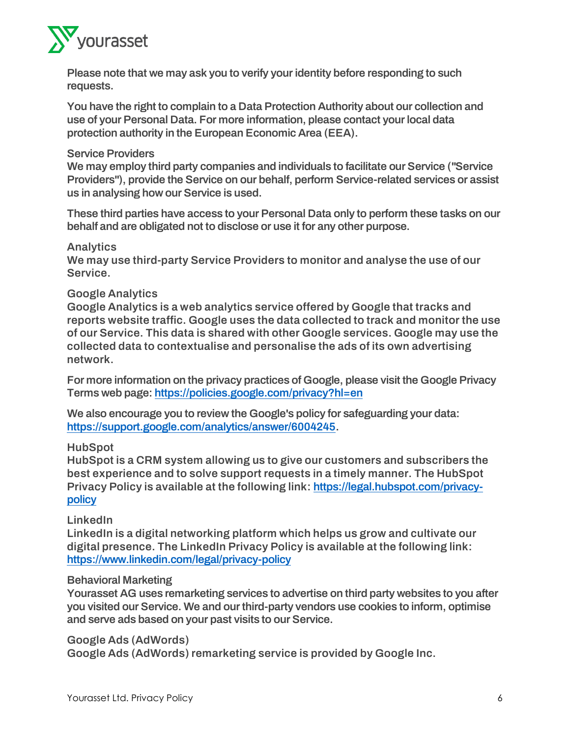

Please note that we may ask you to verify your identity before responding to such requests.

You have the right to complain to a Data Protection Authority about our collection and use of your Personal Data. For more information, please contact your local data protection authority in the European Economic Area (EEA).

#### Service Providers

We may employ third party companies and individuals to facilitate our Service ("Service Providers"), provide the Service on our behalf, perform Service-related services or assist us in analysing how our Service is used.

These third parties have access to your Personal Data only to perform these tasks on our behalf and are obligated not to disclose or use it for any other purpose.

### **Analytics**

**We may use third-party Service Providers to monitor and analyse the use of our Service.**

## **Google Analytics**

**Google Analytics is a web analytics service offered by Google that tracks and reports website traffic. Google uses the data collected to track and monitor the use of our Service. This data is shared with other Google services. Google may use the collected data to contextualise and personalise the ads of its own advertising network.**

For more information on the privacy practices of Google, please visit the Google Privacy Terms web page:<https://policies.google.com/privacy?hl=en>

We also encourage you to review the Google's policy for safeguarding your data: [https://support.google.com/analytics/answer/6004245.](https://support.google.com/analytics/answer/6004245)

#### **HubSpot**

**HubSpot is a CRM system allowing us to give our customers and subscribers the best experience and to solve support requests in a timely manner. The HubSpot Privacy Policy is available at the following link:** [https://legal.hubspot.com/privacy](https://legal.hubspot.com/privacy-policy)[policy](https://legal.hubspot.com/privacy-policy)

## **LinkedIn**

**LinkedIn is a digital networking platform which helps us grow and cultivate our digital presence. The LinkedIn Privacy Policy is available at the following link:**  <https://www.linkedin.com/legal/privacy-policy>

#### Behavioral Marketing

Yourasset AG uses remarketing services to advertise on third party websites to you after you visited our Service. We and our third-party vendors use cookies to inform, optimise and serve ads based on your past visits to our Service.

## **Google Ads (AdWords)**

**Google Ads (AdWords) remarketing service is provided by Google Inc.**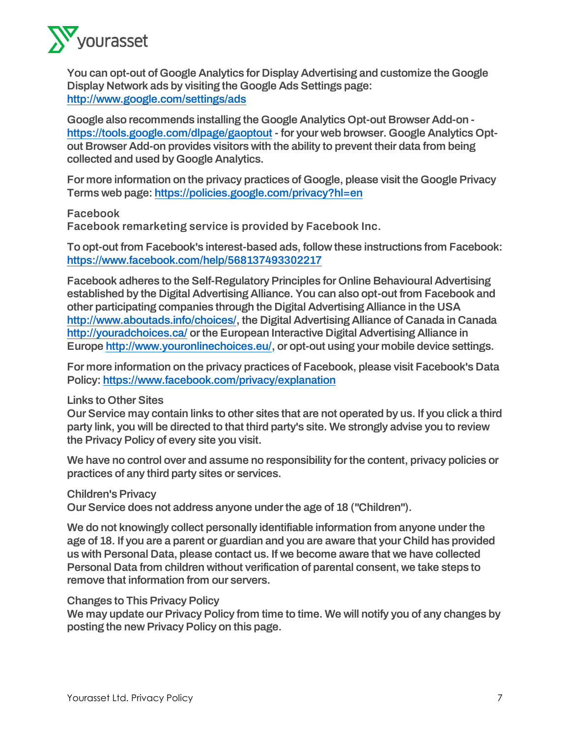

You can opt-out of Google Analytics for Display Advertising and customize the Google Display Network ads by visiting the Google Ads Settings page: <http://www.google.com/settings/ads>

Google also recommends installing the Google Analytics Opt-out Browser Add-on <https://tools.google.com/dlpage/gaoptout> - for your web browser. Google Analytics Optout Browser Add-on provides visitors with the ability to prevent their data from being collected and used by Google Analytics.

For more information on the privacy practices of Google, please visit the Google Privacy Terms web page:<https://policies.google.com/privacy?hl=en>

**Facebook**

**Facebook remarketing service is provided by Facebook Inc.**

To opt-out from Facebook's interest-based ads, follow these instructions from Facebook: <https://www.facebook.com/help/568137493302217>

Facebook adheres to the Self-Regulatory Principles for Online Behavioural Advertising established by the Digital Advertising Alliance. You can also opt-out from Facebook and other participating companies through the Digital Advertising Alliance in the USA [http://www.aboutads.info/choices/,](http://www.aboutads.info/choices/) the Digital Advertising Alliance of Canada in Canada <http://youradchoices.ca/> or the European Interactive Digital Advertising Alliance in Europ[e http://www.youronlinechoices.eu/,](http://www.youronlinechoices.eu/) or opt-out using your mobile device settings.

For more information on the privacy practices of Facebook, please visit Facebook's Data Policy[: https://www.facebook.com/privacy/explanation](https://www.facebook.com/privacy/explanation)

## Links to Other Sites

Our Service may contain links to other sites that are not operated by us. If you click a third party link, you will be directed to that third party's site. We strongly advise you to review the Privacy Policy of every site you visit.

We have no control over and assume no responsibility for the content, privacy policies or practices of any third party sites or services.

Children's Privacy

Our Service does not address anyone under the age of 18 ("Children").

We do not knowingly collect personally identifiable information from anyone under the age of 18. If you are a parent or guardian and you are aware that your Child has provided us with Personal Data, please contact us. If we become aware that we have collected Personal Data from children without verification of parental consent, we take steps to remove that information from our servers.

Changes to This Privacy Policy

We may update our Privacy Policy from time to time. We will notify you of any changes by posting the new Privacy Policy on this page.